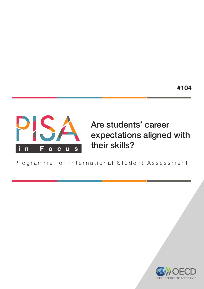

# Are students' career expectations aligned with their skills?

Programme for International Student Assessment

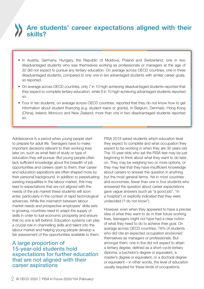## Are students' career expectations aligned with their skills?

- In Austria, Germany, Hungary, the Republic of Moldova, Poland and Switzerland, one in two disadvantaged students who saw themselves working as professionals or managers at the age of 30 did not expect to pursue any tertiary education. On average across OECD countries, one in three disadvantaged students, compared to only one in ten advantaged students with similar career goals, so reported.
- On average across OECD countries, only 7 in 10 high-achieving disadvantaged students reported that they expect to complete tertiary education, while 9 in 10 high-achieving advantaged students reported  $SO<sub>2</sub>$
- Four in ten students, on average across OECD countries, reported that they do not know how to get information about student financing (e.g. student loans or grants). In Belgium, Denmark, Hong Kong (China), Ireland, Morocco and New Zealand, more than one in two disadvantaged students reported so.

Adolescence is a period when young people start to prepare for adult life. Teenagers have to make important decisions relevant to their working lives later on, such as what field of study or type of education they will pursue. But young people often lack sufficient knowledge about the breadth of job opportunities and careers open to them; their career and education aspirations are often shaped more by their personal background. In addition to perpetuating existing inequalities in the labour market, this may lead to expectations that are not aligned with the needs of the job market these students will soon enter, particularly in the context of rapid technological advances. While the mismatch between labour market needs and prospective employees' skills sets is growing, countries need to adapt the supply of skills in order to fuel economic prosperity and ensure that no one is left behind. Education systems can play a crucial role in channelling skills and talent into the labour market and helping young people develop a fair assessment of the opportunities available to them.

#### A large proportion of 15-year-old students hold expectations for further education that are not aligned with their career aspirations

PISA 2018 asked students which education level they expect to complete and what occupation they expect to be working in when they are 30 years old. The 15-year-olds who sat the PISA test may be just beginning to think about what they want to do later on. They may be weighing two or more options, or they may feel that they have insufficient knowledge about careers to answer the question in anything but the most general terms. Yet in most countries and economies, fewer than one in four students who answered the question about career expectations gave vague answers (such as "a good job", "in a hospital") or explicitly indicated that they were undecided ("I do not know").

However, even when they appeared to have a precise idea of what they want to do in their future working lives, teenagers might not have had a clear notion of what they need to do to achieve their goal. On average across OECD countries, 76% of students who did cite an expected occupation envisioned themselves as managers or professionals. But amongst them, one in five did not expect to attain a tertiary degree, defined as a short-cycle tertiary diploma, a bachelor's degree or equivalent, a master's degree or equivalent, or a doctoral degree or equivalent – in other words, the level of education usually required for these kinds of occupations.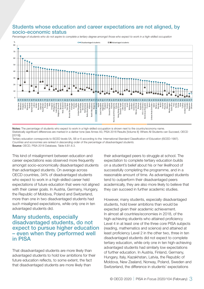#### Students whose education and career expectations are not aligned, by socio-economic status

*Percentage of students who do not aspire to complete a tertiary degree amongst those who expect to work in a high-skilled occupation*



Notes: The percentage of students who expect to work in a high-skilled occupation is shown next to the country/economy name. Statistically significant differences are marked in a darker tone (see Annex A3, PISA 2018 Results [Volume II]: Where All Students can Succeed, OECD [2019]).

Tertiary education corresponds to ISCED levels 5A, 5B or 6 according to the International Standard Classification of Education (ISCED-1997). *Countries and economies are ranked in descending order of the percentage of disadvantaged students.* Source: OECD, PISA 2018 Database, Table II, B1, 6, 3,

This kind of misalignment between education and career expectations was observed more frequently amongst socio-economically disadvantaged students than advantaged students. On average across OECD countries, 34% of disadvantaged students who expect to work in a high-skilled career held expectations of future education that were not aligned with their career goals. In Austria, Germany, Hungary, the Republic of Moldova, Poland and Switzerland, more than one in two disadvantaged students had such misaligned expectations, while only one in ten advantaged students did.

#### Many students, especially disadvantaged students, do not expect to pursue higher education – even when they performed well in PISA

That disadvantaged students are more likely than advantaged students to hold low ambitions for their future education reflects, to some extent, the fact that disadvantaged students are more likely than

their advantaged peers to struggle at school. The expectation to complete tertiary education builds on a student's belief about his or her likelihood of successfully completing the programme, and in a reasonable amount of time. As advantaged students tend to outperform their disadvantaged peers academically, they are also more likely to believe that they can succeed in further academic studies.

However, many students, especially disadvantaged students, hold lower ambitions than would be expected given their academic achievement. In almost all countries/economies in 2018, of the high-achieving students who attained proficiency Level 4 in at least one of the three core PISA subjects (reading, mathematics and science) and attained at least proficiency Level 2 in the other two, three in ten disadvantaged students did not expect to complete tertiary education, while only one in ten high-achieving advantaged students had similarly low expectations of further education. In Austria, Finland, Germany, Hungary, Italy, Kazakhstan, Latvia, the Republic of Moldova, New Zealand, Norway, Poland, Sweden and Switzerland, the difference in students' expectations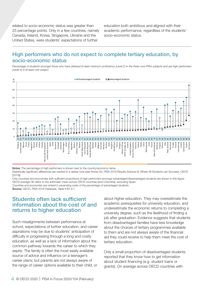related to socio-economic status was greater than 25 percentage points. Only in a few countries, namely Canada, Ireland, Korea, Singapore, Ukraine and the United States, were students' expectations of further

education both ambitious and aligned with their academic performance, regardless of the students' socio-economic status.

### High performers who do not expect to complete tertiary education, by socio-economic status

*Percentage of students amongst those who have attained at least minimum proficiency (Level 2) in the three core PISA subjects and are high performers (Level 4) in at least one subject*



Notes: The percentage of high performers is shown next to the country/economy name.

Statistically significant differences are marked in a darker tone (see Annex A3, PISA 2018 Results [Volume II]: Where All Students can Succeed, OECD [2019]).

Only countries and economies with sufficient proportions of high performers amongst advantaged/disadvantaged students are shown in this figure. OECD average-36 refers to the arithmetic mean across OECD countries (and Colombia), excluding Spain.

*Countries and economies are ranked in ascending order of the percentage of advantaged students.*

Source: OECD, PISA 2018 Database, Table II.B1.6.7.

#### Students often lack sufficient information about the cost of and returns to higher education

Such misalignments between performance at school, expectations of further education, and career aspirations may be due to students' anticipation of difficulty in progressing through a long and costly education, as well as a lack of information about the common pathway towards the career to which they aspire. The family is often the most easily available source of advice and influence on a teenager's career plans; but parents are not always aware of the range of career options available to their child, or

about higher education. They may overestimate the academic prerequisites for university education, and underestimate the economic returns to completing a university degree, such as the likelihood of finding a job after graduation. Evidence suggests that students from disadvantaged families have less knowledge about the choices of tertiary programmes available to them and are not always aware of the financial aid they could receive to help them meet the cost of tertiary education.

Only a small proportion of disadvantaged students reported that they know how to get information about student financing (e.g. student loans or grants). On average across OECD countries with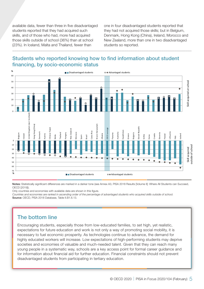available data, fewer than three in five disadvantaged students reported that they had acquired such skills, and of those who had, more had acquired those skills outside of school (36%) than at school (23%). In Iceland, Malta and Thailand, fewer than

one in four disadvantaged students reported that they had not acquired those skills; but in Belgium, Denmark, Hong Kong (China), Ireland, Morocco and New Zealand, more than one in two disadvantaged students so reported.

### Students who reported knowing how to find information about student financing, by socio-economic status



Notes: Statistically significant differences are marked in a darker tone (see Annex A3, PISA 2018 Results [Volume II]: Where All Students can Succeed, OECD [2019]).

Only countries and economies with available data are shown in this figure.

*Countries and economies are ranked in ascending order of the percentage of advantaged students who acquired skills outside of school.* Source: OECD, PISA 2018 Database, Table II.B1.6.13.

### The bottom line

I

Encouraging students, especially those from low-educated families, to set high, yet realistic, expectations for future education and work is not only a way of promoting social mobility, it is necessary to fuel economic prosperity. As technologies continue to advance, the demand for highly educated workers will increase. Low expectations of high-performing students may deprive societies and economies of valuable and much-needed talent. Given that they can reach many young people in a systematic way, schools are a key access point for formal career guidance and for information about financial aid for further education. Financial constraints should not prevent disadvantaged students from participating in tertiary education.